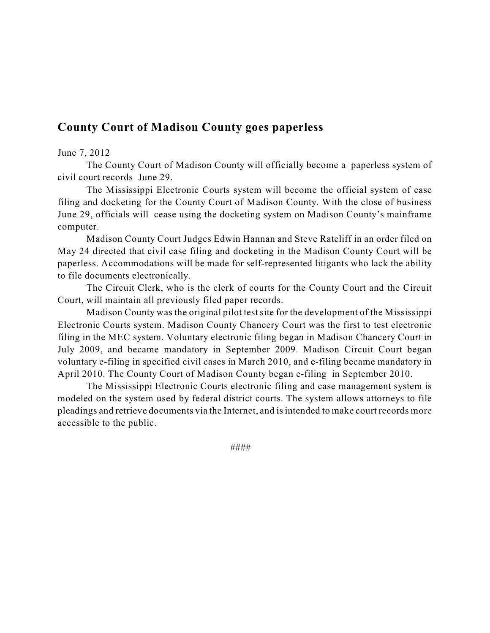## **County Court of Madison County goes paperless**

## June 7, 2012

The County Court of Madison County will officially become a paperless system of civil court records June 29.

The Mississippi Electronic Courts system will become the official system of case filing and docketing for the County Court of Madison County. With the close of business June 29, officials will cease using the docketing system on Madison County's mainframe computer.

Madison County Court Judges Edwin Hannan and Steve Ratcliff in an order filed on May 24 directed that civil case filing and docketing in the Madison County Court will be paperless. Accommodations will be made for self-represented litigants who lack the ability to file documents electronically.

The Circuit Clerk, who is the clerk of courts for the County Court and the Circuit Court, will maintain all previously filed paper records.

Madison County was the original pilot test site for the development of the Mississippi Electronic Courts system. Madison County Chancery Court was the first to test electronic filing in the MEC system. Voluntary electronic filing began in Madison Chancery Court in July 2009, and became mandatory in September 2009. Madison Circuit Court began voluntary e-filing in specified civil cases in March 2010, and e-filing became mandatory in April 2010. The County Court of Madison County began e-filing in September 2010.

The Mississippi Electronic Courts electronic filing and case management system is modeled on the system used by federal district courts. The system allows attorneys to file pleadings and retrieve documents via the Internet, and is intended to make court records more accessible to the public.

####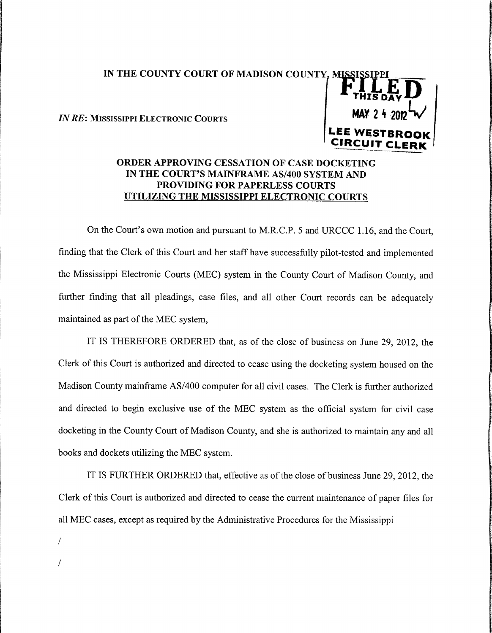## IN THE COUNTY COURT OF MADISON COUNTY, MISSISSIPI

**IN RE: MISSISSIPPI ELECTRONIC COURTS** 



## ORDER APPROVING CESSATION OF CASE DOCKETING IN THE COURT'S MAINFRAME AS/400 SYSTEM AND PROVIDING FOR PAPERLESS COURTS UTILIZING THE MISSISSIPPI ELECTRONIC COURTS

On the Court's own motion and pursuant to M.R.C.P. 5 and URCCC 1.16, and the Court, finding that the Clerk of this Court and her staff have successfully pilot-tested and implemented the Mississippi Electronic Courts (MEC) system in the County Court of Madison County, and further finding that all pleadings, case files, and all other Court records can be adequately maintained as part of the MEC system,

IT IS THEREFORE ORDERED that, as of the close of business on June 29, 2012, the Clerk of this Court is authorized and directed to cease using the docketing system housed on the Madison County mainframe AS/400 computer for all civil cases. The Clerk is further authorized and directed to begin exclusive use of the MEC system as the official system for civil case docketing in the County Court of Madison County, and she is authorized to maintain any and all books and dockets utilizing the MEC system.

IT IS FURTHER ORDERED that, effective as of the close of business June 29, 2012, the Clerk of this Court is authorized and directed to cease the current maintenance of paper files for all MEC cases, except as required by the Administrative Procedures for the Mississippi

 $\sqrt{ }$